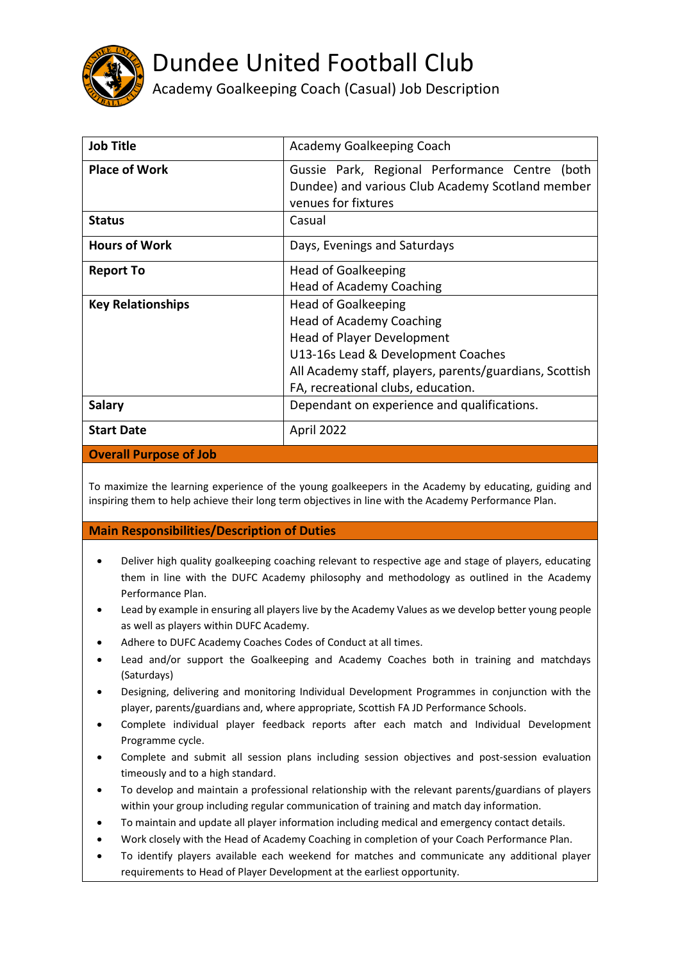

## Dundee United Football Club

Academy Goalkeeping Coach (Casual) Job Description

| <b>Job Title</b>         | Academy Goalkeeping Coach                                                                                                    |
|--------------------------|------------------------------------------------------------------------------------------------------------------------------|
| <b>Place of Work</b>     | Gussie Park, Regional Performance Centre<br>(both<br>Dundee) and various Club Academy Scotland member<br>venues for fixtures |
| <b>Status</b>            | Casual                                                                                                                       |
| <b>Hours of Work</b>     | Days, Evenings and Saturdays                                                                                                 |
| <b>Report To</b>         | <b>Head of Goalkeeping</b>                                                                                                   |
|                          | <b>Head of Academy Coaching</b>                                                                                              |
| <b>Key Relationships</b> | <b>Head of Goalkeeping</b>                                                                                                   |
|                          | <b>Head of Academy Coaching</b>                                                                                              |
|                          | <b>Head of Player Development</b>                                                                                            |
|                          | U13-16s Lead & Development Coaches                                                                                           |
|                          | All Academy staff, players, parents/guardians, Scottish                                                                      |
|                          | FA, recreational clubs, education.                                                                                           |
| <b>Salary</b>            | Dependant on experience and qualifications.                                                                                  |
| <b>Start Date</b>        | April 2022                                                                                                                   |

## **Overall Purpose of Job**

To maximize the learning experience of the young goalkeepers in the Academy by educating, guiding and inspiring them to help achieve their long term objectives in line with the Academy Performance Plan.

## **Main Responsibilities/Description of Duties**

- Deliver high quality goalkeeping coaching relevant to respective age and stage of players, educating them in line with the DUFC Academy philosophy and methodology as outlined in the Academy Performance Plan.
- Lead by example in ensuring all players live by the Academy Values as we develop better young people as well as players within DUFC Academy.
- Adhere to DUFC Academy Coaches Codes of Conduct at all times.
- Lead and/or support the Goalkeeping and Academy Coaches both in training and matchdays (Saturdays)
- Designing, delivering and monitoring Individual Development Programmes in conjunction with the player, parents/guardians and, where appropriate, Scottish FA JD Performance Schools.
- Complete individual player feedback reports after each match and Individual Development Programme cycle.
- Complete and submit all session plans including session objectives and post-session evaluation timeously and to a high standard.
- To develop and maintain a professional relationship with the relevant parents/guardians of players within your group including regular communication of training and match day information.
- To maintain and update all player information including medical and emergency contact details.
- Work closely with the Head of Academy Coaching in completion of your Coach Performance Plan.
- To identify players available each weekend for matches and communicate any additional player requirements to Head of Player Development at the earliest opportunity.